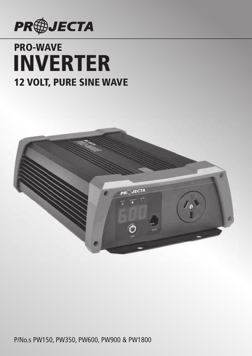

# **PRO-WAVE 12 VOLT, PURE SINE WAVE INVERTER**



P/No.s PW150, PW350, PW600, PW900 & PW1800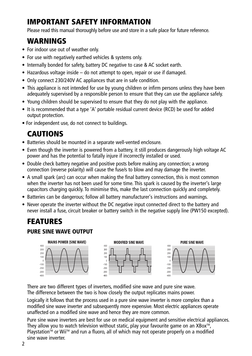# **IMPORTANT SAFETY INFORMATION**

Please read this manual thoroughly before use and store in a safe place for future reference.

### **WARNINGS**

- For indoor use out of weather only.
- For use with negatively earthed vehicles & systems only.
- Internally bonded for safety, battery DC negative to case & AC socket earth.
- Hazardous voltage inside do not attempt to open, repair or use if damaged.
- Only connect 230/240V AC appliances that are in safe condition.
- This appliance is not intended for use by young children or infirm persons unless they have been adequately supervised by a responsible person to ensure that they can use the appliance safely.
- Young children should be supervised to ensure that they do not play with the appliance.
- It is recommended that a type 'A' portable residual current device (RCD) be used for added output protection.
- For independent use, do not connect to buildings.

# **CAUTIONS**

- Batteries should be mounted in a separate well-vented enclosure.
- Even though the inverter is powered from a battery, it still produces dangerously high voltage AC power and has the potential to fatally injure if incorrectly installed or used.
- Double check battery negative and positive posts before making any connection; a wrong connection (reverse polarity) will cause the fuse/s to blow and may damage the inverter.
- A small spark (arc) can occur when making the final battery connection, this is most common when the inverter has not been used for some time. This spark is caused by the inverter's large capacitors charging quickly. To minimise this, make the last connection quickly and completely.
- Batteries can be dangerous; follow all battery manufacturer's instructions and warnings.
- Never operate the inverter without the DC negative input connected direct to the battery and never install a fuse, circuit breaker or battery switch in the negative supply line (PW150 excepted).

### **FEATURES PURE SINE WAVE OUTPUT**



There are two different types of inverters, modified sine wave and pure sine wave. The difference between the two is how closely the output replicates mains power.

Logically it follows that the process used in a pure sine wave inverter is more complex than a modified sine wave inverter and subsequently more expensive. Most electric appliances operate unaffected on a modified sine wave and hence they are more common.

Pure sine wave inverters are best for use on medical equipment and sensitive electrical appliances. They allow you to watch television without static, play your favourite game on an XBox<sup>TM</sup>, Playstation™ or Wii™ and run a fluoro, all of which may not operate properly on a modified sine wave inverter.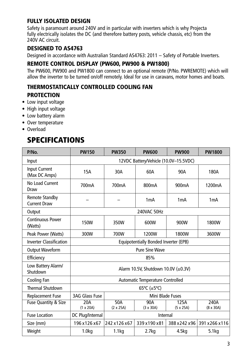#### **FULLY ISOLATED DESIGN**

Safety is paramount around 240V and in particular with inverters which is why Projecta fully electrically isolates the DC (and therefore battery posts, vehicle chassis, etc) from the 240V AC circuit.

#### **DESIGNED TO AS4763**

Designed in accordance with Australian Standard AS4763: 2011 – Safety of Portable Inverters.

#### **REMOTE CONTROL DISPLAY (PW600, PW900 & PW1800)**

The PW600, PW900 and PW1800 can connect to an optional remote (P/No. PWREMOTE) which will allow the inverter to be turned on/off remotely. Ideal for use in caravans, motor homes and boats.

### **THERMOSTATICALLY CONTROLLED COOLING FAN PROTECTION**

- Low input voltage
- High input voltage
- Low battery alarm
- Over temperature
- Overload

### **SPECIFICATIONS**

| P/No.                                        | <b>PW150</b>                          | <b>PW350</b>                        | <b>PW600</b>                     | <b>PW900</b>             | <b>PW1800</b>            |  |
|----------------------------------------------|---------------------------------------|-------------------------------------|----------------------------------|--------------------------|--------------------------|--|
| Input                                        | 12VDC Battery/Vehicle (10.0V-15.5VDC) |                                     |                                  |                          |                          |  |
| <b>Input Current</b><br>(Max DC Amps)        | <b>15A</b>                            | 30A                                 | 60A                              | 90A                      | 180A                     |  |
| No Load Current<br>Draw                      | 700mA                                 | 700mA                               | 800mA                            | 900 <sub>m</sub> A       | 1200mA                   |  |
| <b>Remote Standby</b><br><b>Current Draw</b> |                                       |                                     | 1 <sub>m</sub> A                 | 1mA                      | 1mA                      |  |
| Output                                       |                                       |                                     | 240VAC 50Hz                      |                          |                          |  |
| <b>Continuous Power</b><br>(Watts)           | 150W                                  | 350W                                | 600W                             | 900W                     | 1800W                    |  |
| Peak Power (Watts)                           | 300W                                  | 700W                                | 1200W                            | 1800W                    | 3600W                    |  |
| <b>Inverter Classification</b>               | Equipotentially Bonded Inverter (EPB) |                                     |                                  |                          |                          |  |
| <b>Output Waveform</b>                       | <b>Pure Sine Wave</b>                 |                                     |                                  |                          |                          |  |
| Efficiency                                   | 85%                                   |                                     |                                  |                          |                          |  |
| Low Battery Alarm/<br>Shutdown               |                                       | Alarm 10.5V, Shutdown 10.0V (±0.3V) |                                  |                          |                          |  |
| Cooling Fan                                  |                                       |                                     | Automatic Temperature Controlled |                          |                          |  |
| <b>Thermal Shutdown</b>                      | 65°C ( $\pm$ 5°C)                     |                                     |                                  |                          |                          |  |
| Replacement Fuse                             | 3AG Glass Fuse<br>Mini Blade Fuses    |                                     |                                  |                          |                          |  |
| Fuse Quantity & Size                         | 20A<br>$(1 \times 20A)$               | 50A<br>$(2 \times 25A)$             | 90A<br>$(3 \times 30A)$          | 125A<br>$(5 \times 25A)$ | 240A<br>$(8 \times 30A)$ |  |
| <b>Fuse Location</b>                         | DC Plug/Internal<br>Internal          |                                     |                                  |                          |                          |  |
| Size (mm)                                    | 196 x 126 x 67                        | 242 x 126 x 67                      | 339 x 190 x 81                   | 388 x 242 x 96           | 391 x 266 x 116          |  |
| Weight                                       | 1.0 <sub>kq</sub>                     | 1.1 <sub>kq</sub>                   | 2.7 <sub>kq</sub>                | 4.5kg                    | 5.1 <sub>kq</sub>        |  |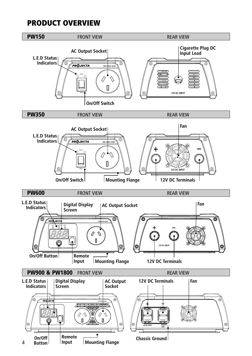### **PRODUCT OVERVIEW**

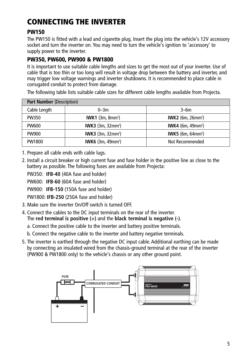# **CONNECTING THE INVERTER**

#### **PW150**

The PW150 is fitted with a lead and cigarette plug. Insert the plug into the vehicle's 12V accessory socket and turn the inverter on. You may need to turn the vehicle's ignition to 'accessory' to supply power to the inverter.

#### **PW350, PW600, PW900 & PW1800**

It is important to use suitable cable lengths and sizes to get the most out of your inverter. Use of cable that is too thin or too long will result in voltage drop between the battery and inverter, and may trigger low voltage warnings and inverter shutdowns. It is recommended to place cable in corrugated conduit to protect from damage.

| <b>Part Number (Description)</b> |                                      |                                      |  |  |  |
|----------------------------------|--------------------------------------|--------------------------------------|--|--|--|
| Cable Length                     | $0 - 3m$                             | $3-6m$                               |  |  |  |
| PW350                            | IWK1 $(3m, 8mm^2)$                   | <b>IWK2</b> (6m, 26mm <sup>2</sup> ) |  |  |  |
| <b>PW600</b>                     | <b>IWK3</b> $(3m, 32mm^2)$           | <b>IWK4</b> (6m, 49mm <sup>2</sup> ) |  |  |  |
| <b>PW900</b>                     | <b>IWK3</b> (3m, 32mm <sup>2</sup> ) | <b>IWK5</b> (6m, 64mm <sup>2</sup> ) |  |  |  |
| PW1800                           | <b>IWK6</b> $(3m, 49mm^2)$           | Not Recommended                      |  |  |  |

The following table lists suitable cable sizes for different cable lengths available from Projecta.

1. Prepare all cable ends with cable lugs.

2. Install a circuit breaker or high current fuse and fuse holder in the positive line as close to the battery as possible. The following fuses are available from Projecta:

PW350: **IFB-40** (40A fuse and holder)

PW600: **IFB-60** (60A fuse and holder)

PW900: **IFB-150** (150A fuse and holder)

PW1800: **IFB-250** (250A fuse and holder)

- 3. Make sure the inverter On/Off switch is turned OFF.
- 4. Connect the cables to the DC input terminals on the rear of the inverter. The **red terminal is positive (+)** and the **black terminal is negative (-)**.
	- a. Connect the positive cable to the inverter and battery positive terminals.
	- b. Connect the negative cable to the inverter and battery negative terminals.
- 5. The inverter is earthed through the negative DC input cable. Additional earthing can be made by connecting an insulated wired from the chassis-ground terminal at the rear of the inverter (PW900 & PW1800 only) to the vehicle's chassis or any other ground point.

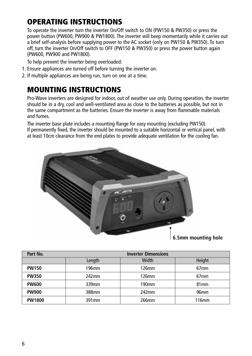# **OPERATING INSTRUCTIONS**

To operate the inverter turn the inverter On/Off switch to ON (PW150 & PW350) or press the power button (PW600, PW900 & PW1800). The inverter will beep momentarily while it carries out a brief self-analysis before supplying power to the AC socket (only on PW150 & PW350). To turn off, turn the inverter On/Off switch to OFF (PW150 & PW350) or press the power button again (PW600, PW900 and PW1800).

To help prevent the inverter being overloaded:

- 1. Ensure appliances are turned off before turning the inverter on.
- 2. If multiple appliances are being run, turn on one at a time.

### **MOUNTING INSTRUCTIONS**

Pro-Wave inverters are designed for indoor, out of weather use only. During operation, the inverter should be in a dry, cool and well-ventilated area as close to the batteries as possible, but not in the same compartment as the batteries. Ensure the inverter is away from flammable materials and fumes.

The inverter base plate includes a mounting flange for easy mounting (excluding PW150). If permanently fixed, the inverter should be mounted to a suitable horizontal or vertical panel, with at least 10cm clearance from the end plates to provide adequate ventilation for the cooling fan.



| Part No.      | <b>Inverter Dimensions</b> |          |                   |  |
|---------------|----------------------------|----------|-------------------|--|
|               | Length                     | Height   |                   |  |
| <b>PW150</b>  | 196mm                      | $126$ mm | 67 <sub>mm</sub>  |  |
| <b>PW350</b>  | 242mm                      | 126mm    | 67 <sub>mm</sub>  |  |
| <b>PW600</b>  | 339mm                      | 190mm    | 81 <sub>mm</sub>  |  |
| <b>PW900</b>  | 388mm                      | 242mm    | 96 <sub>mm</sub>  |  |
| <b>PW1800</b> | 391 <sub>mm</sub>          | 266mm    | 116 <sub>mm</sub> |  |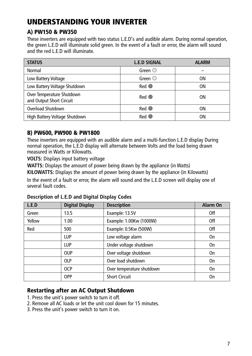# **UNDERSTANDING YOUR INVERTER**

#### **A) PW150 & PW350**

These inverters are equipped with two status L.E.D's and audible alarm. During normal operation, the green L.E.D will illuminate solid green. In the event of a fault or error, the alarm will sound and the red L.E.D will illuminate.

| <b>STATUS</b>                                         | <b>L.E.D SIGNAL</b> | <b>ALARM</b> |
|-------------------------------------------------------|---------------------|--------------|
| Normal                                                | Green $\bigcirc$    |              |
| Low Battery Voltage                                   | Green $\bigcirc$    | OΝ           |
| Low Battery Voltage Shutdown                          | $Red$ $\odot$       | ΟN           |
| Over Temperature Shutdown<br>and Output Short Circuit | $Red$ $\bullet$     | ΟN           |
| Overload Shutdown                                     | $Red$ $\odot$       | OΝ           |
| High Battery Voltage Shutdown                         | Red                 | OΝ           |

#### **B) PW600, PW900 & PW1800**

These inverters are equipped with an audible alarm and a multi-function L.E.D display During normal operation, the L.E.D display will alternate between Volts and the load being drawn measured in Watts or Kilowatts.

**VOLTS:** Displays input battery voltage

**WATTS:** Displays the amount of power being drawn by the appliance (in Watts)

**KILOWATTS:** Displays the amount of power being drawn by the appliance (in Kilowatts)

In the event of a fault or error, the alarm will sound and the L.E.D screen will display one of several fault codes.

| L.E.D  | <b>Digital Display</b> | <b>Description</b>        | Alarm On  |
|--------|------------------------|---------------------------|-----------|
| Green  | 13.5                   | Example: 13.5V            | 0ff       |
| Yellow | 1.00                   | Example: 1.00Kw (1000W)   | Off       |
| Red    | 500                    | Example: 0.5Kw (500W)     | Off       |
|        | LUP                    | Low voltage alarm         | 0n        |
|        | LUP                    | Under voltage shutdown    | <b>On</b> |
|        | <b>OUP</b>             | Over voltage shutdown     | <b>On</b> |
|        | <b>OLP</b>             | Over load shutdown        | 0n        |
|        | <b>OCP</b>             | Over temperature shutdown | 0n        |
|        | <b>OPP</b>             | <b>Short Circuit</b>      | On        |

**Description of L.E.D and Digital Display Codes**

#### **Restarting after an AC Output Shutdown**

- 1. Press the unit's power switch to turn it off.
- 2. Remove all AC loads or let the unit cool down for 15 minutes.
- 3. Press the unit's power switch to turn it on.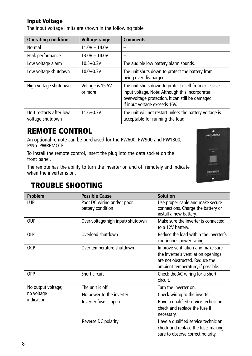#### **Input Voltage**

The input voltage limits are shown in the following table.

| <b>Operating condition</b>                  | Voltage range               | <b>Comments</b>                                                                                                                                                                              |
|---------------------------------------------|-----------------------------|----------------------------------------------------------------------------------------------------------------------------------------------------------------------------------------------|
| Normal                                      | $11.0V - 14.0V$             |                                                                                                                                                                                              |
| Peak performance                            | $13.0V - 14.0V$             |                                                                                                                                                                                              |
| Low voltage alarm                           | $10.5 \pm 0.3V$             | The audible low battery alarm sounds.                                                                                                                                                        |
| Low voltage shutdown                        | $10.0 + 0.3V$               | The unit shuts down to protect the battery from<br>being over-discharged.                                                                                                                    |
| High voltage shutdown                       | Voltage is 15.5V<br>or more | The unit shuts down to protect itself from excessive<br>input voltage. Note: Although this incorporates<br>over-voltage protection, it can still be damaged<br>if input voltage exceeds 16V. |
| Unit restarts after low<br>voltage shutdown | $11.6 \pm 0.3V$             | The unit will not restart unless the battery voltage is<br>acceptable for running the load.                                                                                                  |

# **REMOTE CONTROL**

An optional remote can be purchased for the PW600, PW900 and PW1800, P/No. PWREMOTE.

To install the remote control, insert the plug into the data socket on the front panel.

The remote has the ability to turn the inverter on and off remotely and indicate when the inverter is on.



### **TROUBLE SHOOTING**

| Problem                  | <b>Possible Cause</b>                           | <b>Solution</b>                                                                                                                                 |  |
|--------------------------|-------------------------------------------------|-------------------------------------------------------------------------------------------------------------------------------------------------|--|
| LUP                      | Poor DC wiring and/or poor<br>battery condition | Use proper cable and make secure<br>connections. Charge the battery or<br>install a new battery.                                                |  |
| <b>OUP</b>               | Over-voltage(high input) shutdown               | Make sure the inverter is connected<br>to a 12V battery.                                                                                        |  |
| <b>OLP</b>               | Overload shutdown                               | Reduce the load within the inverter's<br>continuous power rating.                                                                               |  |
| <b>OCP</b>               | Over-temperature shutdown                       | Improve ventilation and make sure<br>the inverter's ventilation openings<br>are not obstructed. Reduce the<br>ambient temperature, if possible. |  |
| <b>OPP</b>               | Short circuit                                   | Check the AC wiring for a short<br>circuit.                                                                                                     |  |
| No output voltage;       | The unit is off                                 | Turn the inverter on.                                                                                                                           |  |
| no voltage<br>indication | No power to the inverter                        | Check wiring to the inverter.                                                                                                                   |  |
|                          | Inverter fuse is open                           | Have a qualified service technician<br>check and replace the fuse if<br>necessary.                                                              |  |
|                          | Reverse DC polarity                             | Have a qualified service technician<br>check and replace the fuse, making<br>sure to observe correct polarity.                                  |  |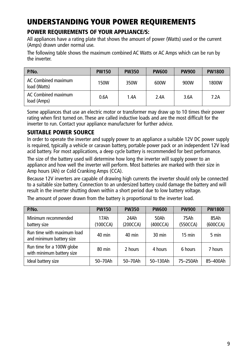# **UNDERSTANDING YOUR POWER REQUIREMENTS**

#### **POWER REQUIREMENTS OF YOUR APPLIANCE/S:**

All appliances have a rating plate that shows the amount of power (Watts) used or the current (Amps) drawn under normal use.

The following table shows the maximum combined AC Watts or AC Amps which can be run by the inverter.

| P/No.                               | <b>PW150</b> | <b>PW350</b> | <b>PW600</b> | <b>PW900</b> | <b>PW1800</b> |
|-------------------------------------|--------------|--------------|--------------|--------------|---------------|
| AC Combined maximum<br>load (Watts) | 150W         | 350W         | 600W         | 900W         | 1800W         |
| AC Combined maximum<br>load (Amps)  | 0.6A         | 1.4A         | 2.4A         | 3.6A         | 7.2A          |

Some appliances that use an electric motor or transformer may draw up to 10 times their power rating when first turned on. These are called inductive loads and are the most difficult for the inverter to run. Contact your appliance manufacturer for further advice.

#### **SUITABLE POWER SOURCE**

In order to operate the inverter and supply power to an appliance a suitable 12V DC power supply is required, typically a vehicle or caravan battery, portable power pack or an independent 12V lead acid battery. For most applications, a deep cycle battery is recommended for best performance.

The size of the battery used will determine how long the inverter will supply power to an appliance and how well the inverter will perform. Most batteries are marked with their size in Amp hours (Ah) or Cold Cranking Amps (CCA).

Because 12V inverters are capable of drawing high currents the inverter should only be connected to a suitable size battery. Connection to an undersized battery could damage the battery and will result in the inverter shutting down within a short period due to low battery voltage.

The amount of power drawn from the battery is proportional to the inverter load.

| P/No.                                                  | <b>PW150</b>     | <b>PW350</b>     | <b>PW600</b>     | <b>PW900</b>     | <b>PW1800</b>    |
|--------------------------------------------------------|------------------|------------------|------------------|------------------|------------------|
| Minimum recommended<br>battery size                    | 17Ah<br>(100CCA) | 24Ah<br>(200CCA) | 50Ah<br>(400CCA) | 75Ah<br>(550CCA) | 85Ah<br>(600CCA) |
| Run time with maximum load<br>and minimum battery size | $40 \text{ min}$ | $40 \text{ min}$ | $30 \text{ min}$ | $15 \text{ min}$ | 5 min            |
| Run time for a 100W globe<br>with minimum battery size | 80 min           | 2 hours          | 4 hours          | 6 hours          | 7 hours          |
| Ideal battery size                                     | 50-70Ah          | 50-70Ah          | 50-130Ah         | 75-250Ah         | 85-400Ah         |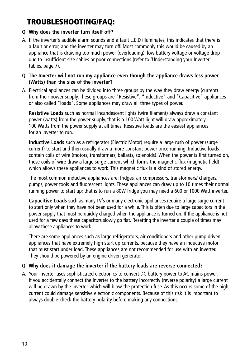# **TROUBLESHOOTING/FAQ:**

#### **Q. Why does the inverter turn itself off?**

A. If the inverter's audible alarm sounds and a fault L.E.D illuminates, this indicates that there is a fault or error, and the inverter may turn off. Most commonly this would be caused by an appliance that is drawing too much power (overloading), low battery voltage or voltage drop due to insufficient size cables or poor connections (refer to 'Understanding your Inverter' tables, page 7).

#### **Q. The Inverter will not run my appliance even though the appliance draws less power (Watts) than the size of the inverter?**

A. Electrical appliances can be divided into three groups by the way they draw energy (current) from their power supply. These groups are "Resistive", "Inductive" and "Capacitive" appliances or also called "loads". Some appliances may draw all three types of power.

**Resistive Loads** such as normal incandescent lights (wire filament) always draw a constant power (watts) from the power supply, that is a 100 Watt light will draw approximately 100 Watts from the power supply at all times. Resistive loads are the easiest appliances for an inverter to run.

**Inductive Loads** such as a refrigerator (Electric Motor) require a large rush of power (surge current) to start and then usually draw a more constant power once running. Inductive loads contain coils of wire (motors, transformers, ballasts, solenoids). When the power is first turned on, these coils of wire draw a large surge current which forms the magnetic flux (magnetic field) which allows these appliances to work. This magnetic flux is a kind of stored energy.

The most common inductive appliances are: fridges, air compressors, transformers/ chargers, pumps, power tools and fluorescent lights. These appliances can draw up to 10 times their normal running power to start up; that is to run a 80W fridge you may need a 600 or 1000 Watt inverter.

**Capacitive Loads** such as many TV's or many electronic appliances require a large surge current to start only when they have not been used for a while. This is often due to large capacitors in the power supply that must be quickly charged when the appliance is turned on. If the appliance is not used for a few days these capacitors slowly go flat. Resetting the inverter a couple of times may allow these appliances to work.

There are some appliances such as large refrigerators, air conditioners and other pump driven appliances that have extremely high start up currents, because they have an inductive motor that must start under load. These appliances are not recommended for use with an inverter. They should be powered by an engine driven generator.

#### **Q. Why does it damage the inverter if the battery leads are reverse-connected?**

A. Your inverter uses sophisticated electronics to convert DC battery power to AC mains power. If you accidentally connect the inverter to the battery incorrectly (reverse polarity) a large current will be drawn by the inverter which will blow the protection fuse. As this occurs some of the high current could damage sensitive electronic components. Because of this risk it is important to always double-check the battery polarity before making any connections.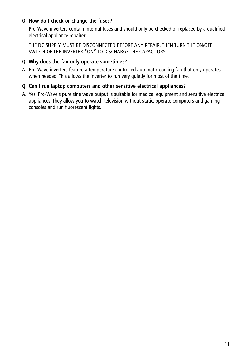#### **Q. How do I check or change the fuses?**

Pro-Wave inverters contain internal fuses and should only be checked or replaced by a qualified electrical appliance repairer.

THE DC SUPPLY MUST BE DISCONNECTED BEFORE ANY REPAIR, THEN TURN THE ON/OFF SWITCH OF THE INVERTER "ON" TO DISCHARGE THE CAPACITORS.

#### **Q. Why does the fan only operate sometimes?**

A. Pro-Wave inverters feature a temperature controlled automatic cooling fan that only operates when needed. This allows the inverter to run very quietly for most of the time.

#### **Q. Can I run laptop computers and other sensitive electrical appliances?**

A. Yes. Pro-Wave's pure sine wave output is suitable for medical equipment and sensitive electrical appliances. They allow you to watch television without static, operate computers and gaming consoles and run fluorescent lights.